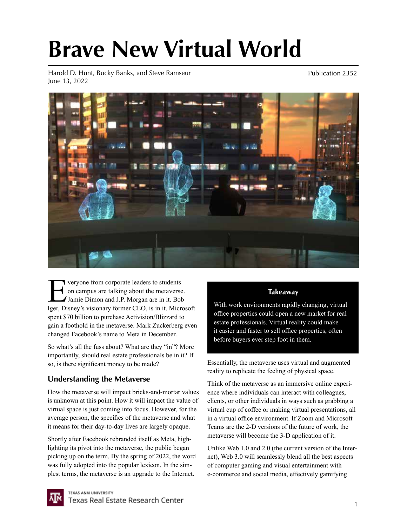# **Brave New Virtual World**

Harold D. Hunt, Bucky Banks, and Steve Ramseur June 13, 2022

Publication 2352



**Everyone from corporate leaders to students**<br> **Eventuary on campus are talking about the metaverse**<br> **Every Disney's visionary former CEO** is in it Microsoft on campus are talking about the metaverse. Jamie Dimon and J.P. Morgan are in it. Bob Iger, Disney's visionary former CEO, is in it. Microsoft spent \$70 billion to purchase Activision/Blizzard to gain a foothold in the metaverse. Mark Zuckerberg even changed Facebook's name to Meta in December.

So what's all the fuss about? What are they "in"? More importantly, should real estate professionals be in it? If so, is there significant money to be made?

### **Understanding the Metaverse**

How the metaverse will impact bricks-and-mortar values is unknown at this point. How it will impact the value of virtual space is just coming into focus. However, for the average person, the specifics of the metaverse and what it means for their day-to-day lives are largely opaque.

Shortly after Facebook rebranded itself as Meta, highlighting its pivot into the metaverse, the public began picking up on the term. By the spring of 2022, the word was fully adopted into the popular lexicon. In the simplest terms, the metaverse is an upgrade to the Internet.

#### **Takeaway**

With work environments rapidly changing, virtual office properties could open a new market for real estate professionals. Virtual reality could make it easier and faster to sell office properties, often before buyers ever step foot in them.

Essentially, the metaverse uses virtual and augmented reality to replicate the feeling of physical space.

Think of the metaverse as an immersive online experience where individuals can interact with colleagues, clients, or other individuals in ways such as grabbing a virtual cup of coffee or making virtual presentations, all in a virtual office environment. If Zoom and Microsoft Teams are the 2-D versions of the future of work, the metaverse will become the 3-D application of it.

Unlike Web 1.0 and 2.0 (the current version of the Internet), Web 3.0 will seamlessly blend all the best aspects of computer gaming and visual entertainment with e-commerce and social media, effectively gamifying

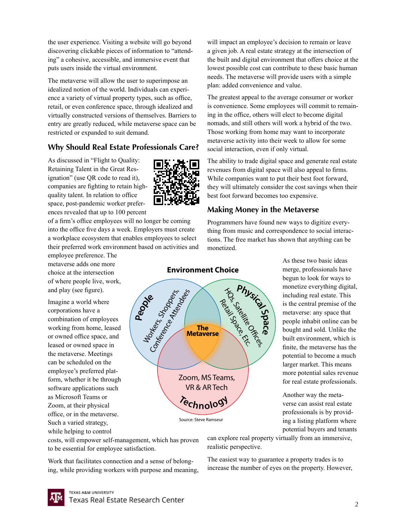the user experience. Visiting a website will go beyond discovering clickable pieces of information to "attending" a cohesive, accessible, and immersive event that puts users inside the virtual environment.

The metaverse will allow the user to superimpose an idealized notion of the world. Individuals can experience a variety of virtual property types, such as office, retail, or even conference space, through idealized and virtually constructed versions of themselves. Barriers to entry are greatly reduced, while metaverse space can be restricted or expanded to suit demand.

### **Why Should Real Estate Professionals Care?**

As discussed in "Flight to Quality: Retaining Talent in the Great Resignation" (use QR code to read it), companies are fighting to retain highquality talent. In relation to office space, post-pandemic worker preferences revealed that up to 100 percent

of a firm's office employees will no longer be coming into the office five days a week. Employers must create a workplace ecosystem that enables employees to select their preferred work environment based on activities and

employee preference. The metaverse adds one more choice at the intersection of where people live, work, and play (see figure).

Imagine a world where corporations have a combination of employees working from home, leased or owned office space, and leased or owned space in the metaverse. Meetings can be scheduled on the employee's preferred platform, whether it be through software applications such as Microsoft Teams or Zoom, at their physical office, or in the metaverse. Such a varied strategy, while helping to control



People Read

**Environment Choice**

**The Metaverse**

**<sup>T</sup>echnolog<sup>y</sup>**

Source: Steve Ramseur

Zoom, MS Teams, VR & AR Tech

will impact an employee's decision to remain or leave a given job. A real estate strategy at the intersection of the built and digital environment that offers choice at the lowest possible cost can contribute to these basic human needs. The metaverse will provide users with a simple plan: added convenience and value.

The greatest appeal to the average consumer or worker is convenience. Some employees will commit to remaining in the office, others will elect to become digital nomads, and still others will work a hybrid of the two. Those working from home may want to incorporate metaverse activity into their week to allow for some social interaction, even if only virtual.

The ability to trade digital space and generate real estate revenues from digital space will also appeal to firms. While companies want to put their best foot forward, they will ultimately consider the cost savings when their best foot forward becomes too expensive.

#### **Making Money in the Metaverse**

**Physical Spa**

HOS, Satellite Ocean

**ce**

Programmers have found new ways to digitize everything from music and correspondence to social interactions. The free market has shown that anything can be monetized.

> As these two basic ideas merge, professionals have begun to look for ways to monetize everything digital, including real estate. This is the central premise of the metaverse: any space that people inhabit online can be bought and sold. Unlike the built environment, which is finite, the metaverse has the potential to become a much larger market. This means more potential sales revenue for real estate professionals.

Another way the metaverse can assist real estate professionals is by providing a listing platform where potential buyers and tenants

costs, will empower self-management, which has proven to be essential for employee satisfaction.

Work that facilitates connection and a sense of belonging, while providing workers with purpose and meaning, can explore real property virtually from an immersive, realistic perspective.

The easiest way to guarantee a property trades is to increase the number of eyes on the property. However,